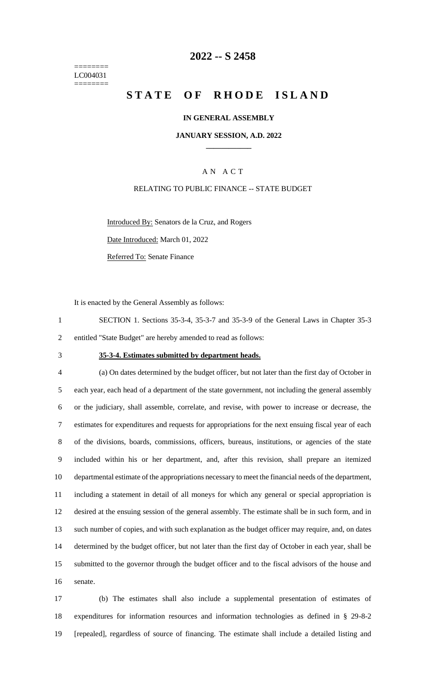======== LC004031 ========

## **-- S 2458**

# **STATE OF RHODE ISLAND**

#### **IN GENERAL ASSEMBLY**

#### **JANUARY SESSION, A.D. 2022 \_\_\_\_\_\_\_\_\_\_\_\_**

## A N A C T

#### RELATING TO PUBLIC FINANCE -- STATE BUDGET

Introduced By: Senators de la Cruz, and Rogers

Date Introduced: March 01, 2022

Referred To: Senate Finance

It is enacted by the General Assembly as follows:

 SECTION 1. Sections 35-3-4, 35-3-7 and 35-3-9 of the General Laws in Chapter 35-3 entitled "State Budget" are hereby amended to read as follows:

#### **35-3-4. Estimates submitted by department heads.**

 (a) On dates determined by the budget officer, but not later than the first day of October in each year, each head of a department of the state government, not including the general assembly or the judiciary, shall assemble, correlate, and revise, with power to increase or decrease, the estimates for expenditures and requests for appropriations for the next ensuing fiscal year of each of the divisions, boards, commissions, officers, bureaus, institutions, or agencies of the state included within his or her department, and, after this revision, shall prepare an itemized departmental estimate of the appropriations necessary to meet the financial needs of the department, including a statement in detail of all moneys for which any general or special appropriation is desired at the ensuing session of the general assembly. The estimate shall be in such form, and in such number of copies, and with such explanation as the budget officer may require, and, on dates determined by the budget officer, but not later than the first day of October in each year, shall be submitted to the governor through the budget officer and to the fiscal advisors of the house and senate.

 (b) The estimates shall also include a supplemental presentation of estimates of expenditures for information resources and information technologies as defined in § 29-8-2 [repealed], regardless of source of financing. The estimate shall include a detailed listing and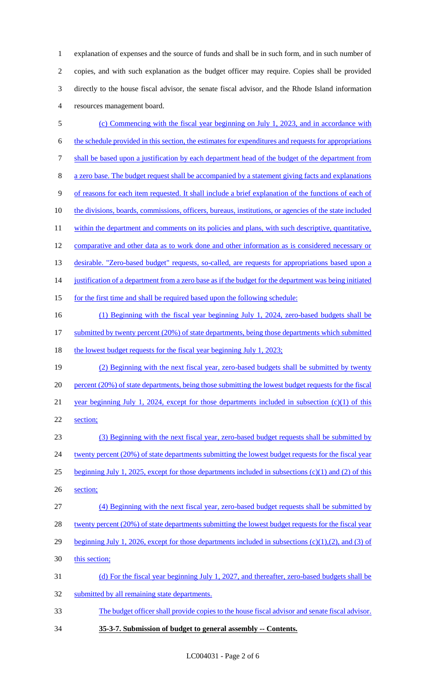explanation of expenses and the source of funds and shall be in such form, and in such number of copies, and with such explanation as the budget officer may require. Copies shall be provided directly to the house fiscal advisor, the senate fiscal advisor, and the Rhode Island information resources management board.

 (c) Commencing with the fiscal year beginning on July 1, 2023, and in accordance with the schedule provided in this section, the estimates for expenditures and requests for appropriations shall be based upon a justification by each department head of the budget of the department from a zero base. The budget request shall be accompanied by a statement giving facts and explanations of reasons for each item requested. It shall include a brief explanation of the functions of each of 10 the divisions, boards, commissions, officers, bureaus, institutions, or agencies of the state included 11 within the department and comments on its policies and plans, with such descriptive, quantitative, 12 comparative and other data as to work done and other information as is considered necessary or 13 desirable. "Zero-based budget" requests, so-called, are requests for appropriations based upon a 14 justification of a department from a zero base as if the budget for the department was being initiated for the first time and shall be required based upon the following schedule: (1) Beginning with the fiscal year beginning July 1, 2024, zero-based budgets shall be 17 submitted by twenty percent (20%) of state departments, being those departments which submitted 18 the lowest budget requests for the fiscal year beginning July 1, 2023; (2) Beginning with the next fiscal year, zero-based budgets shall be submitted by twenty percent (20%) of state departments, being those submitting the lowest budget requests for the fiscal year beginning July 1, 2024, except for those departments included in subsection (c)(1) of this section; (3) Beginning with the next fiscal year, zero-based budget requests shall be submitted by 24 twenty percent (20%) of state departments submitting the lowest budget requests for the fiscal year beginning July 1, 2025, except for those departments included in subsections (c)(1) and (2) of this section; (4) Beginning with the next fiscal year, zero-based budget requests shall be submitted by twenty percent (20%) of state departments submitting the lowest budget requests for the fiscal year 29 beginning July 1, 2026, except for those departments included in subsections (c)(1),(2), and (3) of 30 this section; (d) For the fiscal year beginning July 1, 2027, and thereafter, zero-based budgets shall be 32 submitted by all remaining state departments. The budget officer shall provide copies to the house fiscal advisor and senate fiscal advisor. **35-3-7. Submission of budget to general assembly -- Contents.**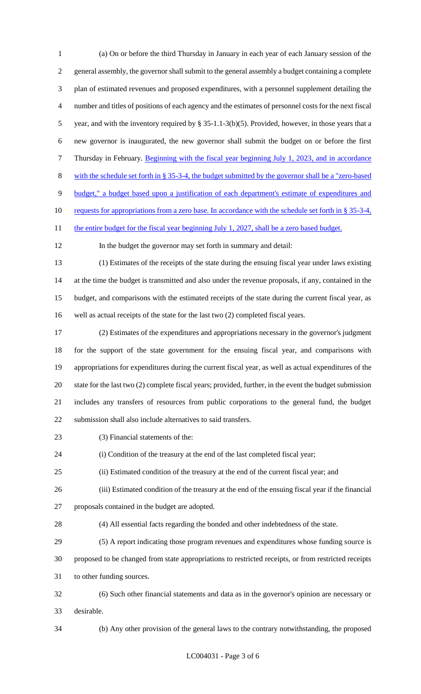(a) On or before the third Thursday in January in each year of each January session of the general assembly, the governor shall submit to the general assembly a budget containing a complete plan of estimated revenues and proposed expenditures, with a personnel supplement detailing the number and titles of positions of each agency and the estimates of personnel costs for the next fiscal year, and with the inventory required by § 35-1.1-3(b)(5). Provided, however, in those years that a new governor is inaugurated, the new governor shall submit the budget on or before the first Thursday in February. Beginning with the fiscal year beginning July 1, 2023, and in accordance with the schedule set forth in § 35-3-4, the budget submitted by the governor shall be a "zero-based budget," a budget based upon a justification of each department's estimate of expenditures and 10 requests for appropriations from a zero base. In accordance with the schedule set forth in § 35-3-4, 11 the entire budget for the fiscal year beginning July 1, 2027, shall be a zero based budget. In the budget the governor may set forth in summary and detail: (1) Estimates of the receipts of the state during the ensuing fiscal year under laws existing at the time the budget is transmitted and also under the revenue proposals, if any, contained in the budget, and comparisons with the estimated receipts of the state during the current fiscal year, as well as actual receipts of the state for the last two (2) completed fiscal years. (2) Estimates of the expenditures and appropriations necessary in the governor's judgment for the support of the state government for the ensuing fiscal year, and comparisons with appropriations for expenditures during the current fiscal year, as well as actual expenditures of the state for the last two (2) complete fiscal years; provided, further, in the event the budget submission includes any transfers of resources from public corporations to the general fund, the budget submission shall also include alternatives to said transfers. (3) Financial statements of the: (i) Condition of the treasury at the end of the last completed fiscal year; (ii) Estimated condition of the treasury at the end of the current fiscal year; and (iii) Estimated condition of the treasury at the end of the ensuing fiscal year if the financial proposals contained in the budget are adopted. (4) All essential facts regarding the bonded and other indebtedness of the state. (5) A report indicating those program revenues and expenditures whose funding source is proposed to be changed from state appropriations to restricted receipts, or from restricted receipts to other funding sources. (6) Such other financial statements and data as in the governor's opinion are necessary or desirable. (b) Any other provision of the general laws to the contrary notwithstanding, the proposed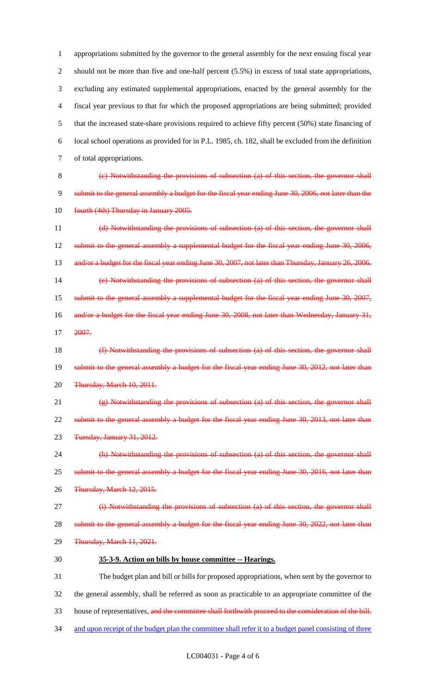appropriations submitted by the governor to the general assembly for the next ensuing fiscal year 2 should not be more than five and one-half percent (5.5%) in excess of total state appropriations, excluding any estimated supplemental appropriations, enacted by the general assembly for the fiscal year previous to that for which the proposed appropriations are being submitted; provided that the increased state-share provisions required to achieve fifty percent (50%) state financing of local school operations as provided for in P.L. 1985, ch. 182, shall be excluded from the definition of total appropriations.

8 (c) Notwithstanding the provisions of subsection (a) of this section, the governor shall 9 submit to the general assembly a budget for the fiscal year ending June 30, 2006, not later than the 10 fourth (4th) Thursday in January 2005.

11 (d) Notwithstanding the provisions of subsection (a) of this section, the governor shall 12 submit to the general assembly a supplemental budget for the fiscal year ending June 30, 2006, 13 and/or a budget for the fiscal year ending June 30, 2007, not later than Thursday, January 26, 2006. 14 (e) Notwithstanding the provisions of subsection (a) of this section, the governor shall 15 submit to the general assembly a supplemental budget for the fiscal year ending June 30, 2007, 16 and/or a budget for the fiscal year ending June 30, 2008, not later than Wednesday, January 31, 17 2007.

18 (f) Notwithstanding the provisions of subsection (a) of this section, the governor shall 19 submit to the general assembly a budget for the fiscal year ending June 30, 2012, not later than 20 Thursday, March 10, 2011.

21 (g) Notwithstanding the provisions of subsection (a) of this section, the governor shall 22 submit to the general assembly a budget for the fiscal year ending June 30, 2013, not later than 23 Tuesday, January 31, 2012.

24 (h) Notwithstanding the provisions of subsection (a) of this section, the governor shall 25 submit to the general assembly a budget for the fiscal year ending June 30, 2016, not later than 26 Thursday, March 12, 2015.

27 (i) Notwithstanding the provisions of subsection (a) of this section, the governor shall

28 submit to the general assembly a budget for the fiscal year ending June 30, 2022, not later than

29 Thursday, March 11, 2021.

#### 30 **35-3-9. Action on bills by house committee -- Hearings.**

31 The budget plan and bill or bills for proposed appropriations, when sent by the governor to 32 the general assembly, shall be referred as soon as practicable to an appropriate committee of the 33 house of representatives, and the committee shall forthwith proceed to the consideration of the bill. 34 and upon receipt of the budget plan the committee shall refer it to a budget panel consisting of three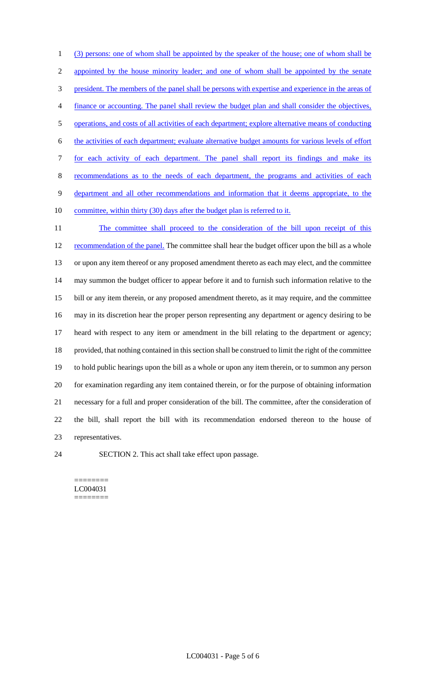(3) persons: one of whom shall be appointed by the speaker of the house; one of whom shall be appointed by the house minority leader; and one of whom shall be appointed by the senate president. The members of the panel shall be persons with expertise and experience in the areas of finance or accounting. The panel shall review the budget plan and shall consider the objectives, operations, and costs of all activities of each department; explore alternative means of conducting the activities of each department; evaluate alternative budget amounts for various levels of effort for each activity of each department. The panel shall report its findings and make its recommendations as to the needs of each department, the programs and activities of each department and all other recommendations and information that it deems appropriate, to the 10 committee, within thirty (30) days after the budget plan is referred to it. The committee shall proceed to the consideration of the bill upon receipt of this recommendation of the panel. The committee shall hear the budget officer upon the bill as a whole or upon any item thereof or any proposed amendment thereto as each may elect, and the committee may summon the budget officer to appear before it and to furnish such information relative to the bill or any item therein, or any proposed amendment thereto, as it may require, and the committee

 provided, that nothing contained in this section shall be construed to limit the right of the committee to hold public hearings upon the bill as a whole or upon any item therein, or to summon any person for examination regarding any item contained therein, or for the purpose of obtaining information

may in its discretion hear the proper person representing any department or agency desiring to be

heard with respect to any item or amendment in the bill relating to the department or agency;

 necessary for a full and proper consideration of the bill. The committee, after the consideration of the bill, shall report the bill with its recommendation endorsed thereon to the house of representatives.

SECTION 2. This act shall take effect upon passage.

======== LC004031 ========